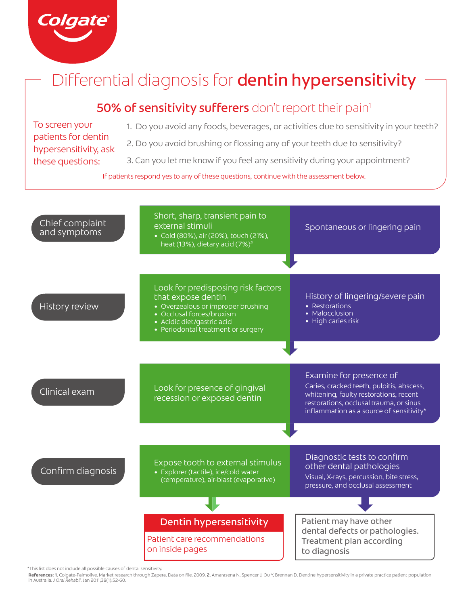

# Differential diagnosis for dentin hypersensitivity

## 50% of sensitivity sufferers don't report their pain<sup>1</sup>

To screen your patients for dentin hypersensitivity, ask these questions:

- 1. Do you avoid any foods, beverages, or activities due to sensitivity in your teeth?
- 2. Do you avoid brushing or flossing any of your teeth due to sensitivity?
- 3. Can you let me know if you feel any sensitivity during your appointment?

If patients respond yes to any of these questions, continue with the assessment below.



<sup>\*</sup>This list does not include all possible causes of dental sensitivity.

References: 1. Colgate-Palmolive. Market research through Zapera. Data on file. 2009. 2. Amarasena N, Spencer J, Ou Y, Brennan D. Dentine hypersensitivity in a private practice patient population<br>in Australia. J Oral Rehab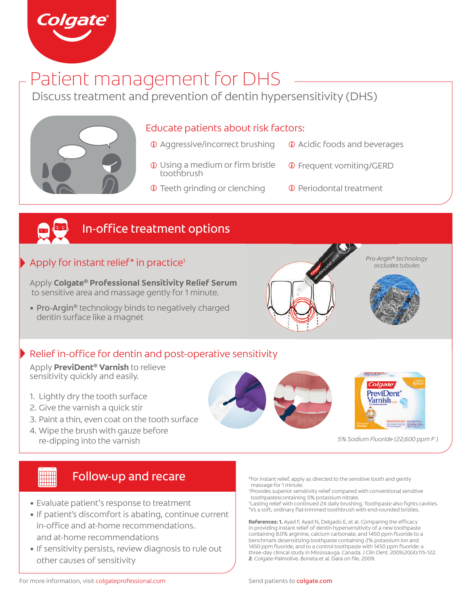

# Patient management for DHS

Discuss treatment and prevention of dentin hypersensitivity (DHS)



#### Educate patients about risk factors:

- Aggressive/incorrect brushing
- Acidic foods and beverages
- **1** Using a medium or firm bristle **1** toothbrush
- Frequent vomiting/GERD
- $\overline{0}$  Teeth grinding or clenching  $\overline{0}$  Periodontal treatment
	-



## In-office treatment options

#### Apply for instant relief\* in practice1

Apply **Colgate® Professional Sensitivity Relief Serum** to sensitive area and massage gently for 1 minute.

• Pro-Argin<sup>®</sup> technology binds to negatively charged dentin surface like a magnet

## $\blacktriangleright$  Relief in-office for dentin and post-operative sensitivity

Apply **PreviDent® Varnish** to relieve sensitivity quickly and easily.

- 1. Lightly dry the tooth surface
- 2. Give the varnish a quick stir
- 3. Paint a thin, even coat on the tooth surface
- 4. Wipe the brush with gauze before re-dipping into the varnish







*Pro-Argin*® *technology occludes tubules*

*5% Sodium Fluoride (22,600 ppm F-)*

# Follow-up and recare

- Evaluate patient's response to treatment
- If patient's discomfort is abating, continue current in-office and at-home recommendations. and at-home recommendations
- If sensitivity persists, review diagnosis to rule out other causes of sensitivity

\*For instant relief, apply as directed to the sensitive tooth and gently massage for 1 minute.

- † Provides superior sensitivity relief compared with conventional sensitive toothpastescontaining 5% potassium nitrate.
- ‡ Lasting relief with continued 2X daily brushing. Toothpaste also fi ghts cavities. § Vs a soft, ordinary fl at-trimmed toothbrush with end-rounded bristles.

References: 1. Ayad F, Ayad N, Delgado E, et al. Comparing the efficacy in providing instant relief of dentin hypersensitivity of a new toothpaste containing 8.0% arginine, calcium carbonate, and 1450 ppm fluoride to a benchmark desensitizing toothpaste containing 2% potassium ion and 1450 ppm fluoride, and to a control toothpaste with 1450 ppm fluoride: a three-day clinical study in Mississauga. Canada. *J Clin Dent*. 2009;20(4):115-122. **2**. Colgate-Palmolive. Boneta et al. Data on file. 2009.

For more information, visit colgateprofessional.com Send patients to colgate.com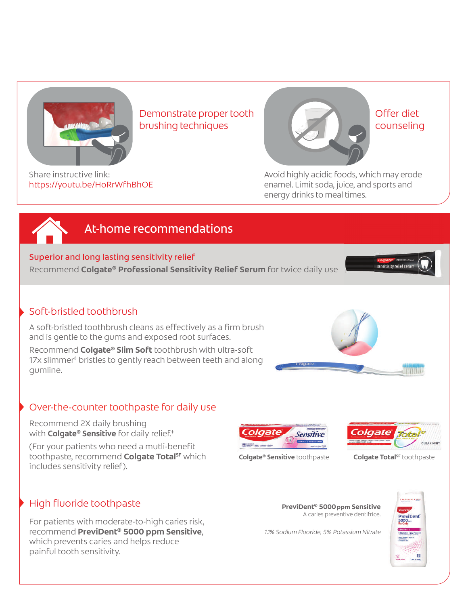

Demonstrate proper tooth brushing techniques



Offer diet counseling

Share instructive link: https://youtu.be/HoRrWfhBhOE Avoid highly acidic foods, which may erode enamel. Limit soda, juice, and sports and energy drinks to meal times.

## At-home recommendations

#### Superior and long lasting sensitivity relief

Recommend **Colgate® Professional Sensitivity Relief Serum** for twice daily use

#### Soft-bristled toothbrush

A soft-bristled toothbrush cleans as effectively as a firm brush and is gentle to the gums and exposed root surfaces.

Recommend **Colgate® Slim Soft** toothbrush with ultra-soft 17x slimmer§ bristles to gently reach between teeth and along gumline.

## Over-the-counter toothpaste for daily use

Recommend 2X daily brushing with **Colgate® Sensitive** for daily relief.<sup>#</sup>

(For your patients who need a mutli-benefit toothpaste, recommend **Colgate Total<sup>SF</sup>** which includes sensitivity relief).

#### Colgate **Sensitive** The March and Company



**Colgate® Sensitive** toothpaste **Colgate Total<sup>SF</sup> toothpaste** 

## High fluoride toothpaste

For patients with moderate-to-high caries risk, recommend **PreviDent® 5000 ppm Sensitive**, which prevents caries and helps reduce painful tooth sensitivity.



*1.1% Sodium Fluoride, 5% Potassium Nitrate*